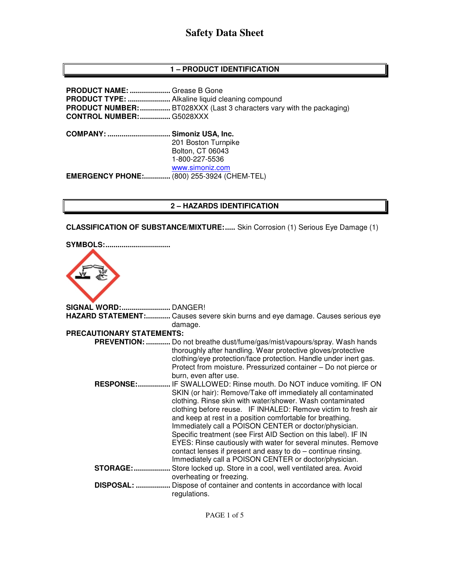# **Safety Data Sheet**

## **1 – PRODUCT IDENTIFICATION**

| <b>PRODUCT NAME: </b> Grease B Gone<br><b>CONTROL NUMBER:  G5028XXX</b> | <b>PRODUCT NUMBER: </b> BT028XXX (Last 3 characters vary with the packaging) |
|-------------------------------------------------------------------------|------------------------------------------------------------------------------|
| COMPANY:  Simoniz USA, Inc.                                             | 201 Boston Turnpike<br>Bolton, CT 06043<br>1-800-227-5536                    |
| <b>EMERGENCY PHONE:</b> (800) 255-3924 (CHEM-TEL)                       | www.simoniz.com                                                              |

#### **2 – HAZARDS IDENTIFICATION**

**CLASSIFICATION OF SUBSTANCE/MIXTURE:.....** Skin Corrosion (1) Serious Eye Damage (1)

| <b>SYMBOLS:</b>                  |                                                                                                                                                                                                                                                                                                                                                                                                                                                                                                                                                                                                                                           |
|----------------------------------|-------------------------------------------------------------------------------------------------------------------------------------------------------------------------------------------------------------------------------------------------------------------------------------------------------------------------------------------------------------------------------------------------------------------------------------------------------------------------------------------------------------------------------------------------------------------------------------------------------------------------------------------|
| <b>SIGNAL WORD: DANGER!</b>      |                                                                                                                                                                                                                                                                                                                                                                                                                                                                                                                                                                                                                                           |
|                                  | HAZARD STATEMENT: Causes severe skin burns and eye damage. Causes serious eye<br>damage.                                                                                                                                                                                                                                                                                                                                                                                                                                                                                                                                                  |
| <b>PRECAUTIONARY STATEMENTS:</b> |                                                                                                                                                                                                                                                                                                                                                                                                                                                                                                                                                                                                                                           |
|                                  | PREVENTION:  Do not breathe dust/fume/gas/mist/vapours/spray. Wash hands<br>thoroughly after handling. Wear protective gloves/protective<br>clothing/eye protection/face protection. Handle under inert gas.<br>Protect from moisture. Pressurized container - Do not pierce or<br>burn, even after use.                                                                                                                                                                                                                                                                                                                                  |
| <b>RESPONSE:</b>                 | IF SWALLOWED: Rinse mouth. Do NOT induce vomiting. IF ON<br>SKIN (or hair): Remove/Take off immediately all contaminated<br>clothing. Rinse skin with water/shower. Wash contaminated<br>clothing before reuse. IF INHALED: Remove victim to fresh air<br>and keep at rest in a position comfortable for breathing.<br>Immediately call a POISON CENTER or doctor/physician.<br>Specific treatment (see First AID Section on this label). IF IN<br>EYES: Rinse cautiously with water for several minutes. Remove<br>contact lenses if present and easy to do - continue rinsing.<br>Immediately call a POISON CENTER or doctor/physician. |
| <b>STORAGE: </b>                 | Store locked up. Store in a cool, well ventilated area. Avoid<br>overheating or freezing.                                                                                                                                                                                                                                                                                                                                                                                                                                                                                                                                                 |
| DISPOSAL:                        | Dispose of container and contents in accordance with local<br>regulations.                                                                                                                                                                                                                                                                                                                                                                                                                                                                                                                                                                |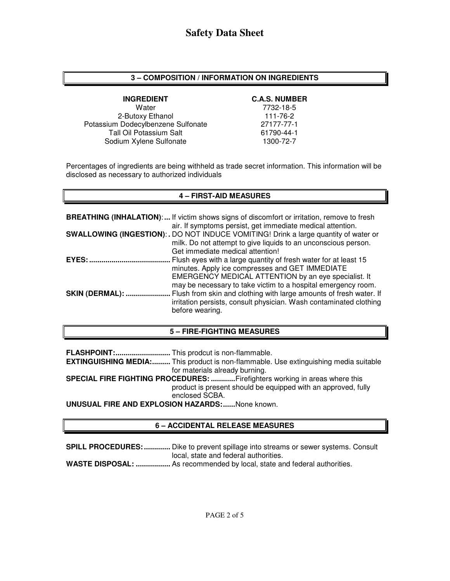#### **3 – COMPOSITION / INFORMATION ON INGREDIENTS**

**INGREDIENT** C.A.S. NUMBER<br>Water 7732-18-5 2-Butoxy Ethanol 111-76-2 Potassium Dodecylbenzene Sulfonate 27177-77-1 Tall Oil Potassium Salt 61790-44-1<br>Sodium Xylene Sulfonate 61790-72-7 Sodium Xylene Sulfonate

7732-18-5

Percentages of ingredients are being withheld as trade secret information. This information will be disclosed as necessary to authorized individuals

### **4 – FIRST-AID MEASURES**

|                        | <b>BREATHING (INHALATION):</b> If victim shows signs of discomfort or irritation, remove to fresh |
|------------------------|---------------------------------------------------------------------------------------------------|
|                        | air. If symptoms persist, get immediate medical attention.                                        |
|                        | <b>SWALLOWING (INGESTION):.</b> DO NOT INDUCE VOMITING! Drink a large quantity of water or        |
|                        | milk. Do not attempt to give liquids to an unconscious person.                                    |
|                        | Get immediate medical attention!                                                                  |
| EYES:                  | Flush eyes with a large quantity of fresh water for at least 15                                   |
|                        | minutes. Apply ice compresses and GET IMMEDIATE                                                   |
|                        | EMERGENCY MEDICAL ATTENTION by an eye specialist. It                                              |
|                        | may be necessary to take victim to a hospital emergency room.                                     |
| <b>SKIN (DERMAL): </b> | Flush from skin and clothing with large amounts of fresh water. If                                |
|                        | irritation persists, consult physician. Wash contaminated clothing                                |
|                        | before wearing.                                                                                   |

#### **5 – FIRE-FIGHTING MEASURES**

**FLASHPOINT: ...........................** This prodcut is non-flammable.

**EXTINGUISHING MEDIA:.........** This product is non-flammable. Use extinguishing media suitable for materials already burning.

**SPECIAL FIRE FIGHTING PROCEDURES: ............** Firefighters working in areas where this product is present should be equipped with an approved, fully enclosed SCBA.

**UNUSUAL FIRE AND EXPLOSION HAZARDS: ......** None known.

## **6 – ACCIDENTAL RELEASE MEASURES**

**SPILL PROCEDURES: .............** Dike to prevent spillage into streams or sewer systems. Consult local, state and federal authorities.

**WASTE DISPOSAL: .................** As recommended by local, state and federal authorities.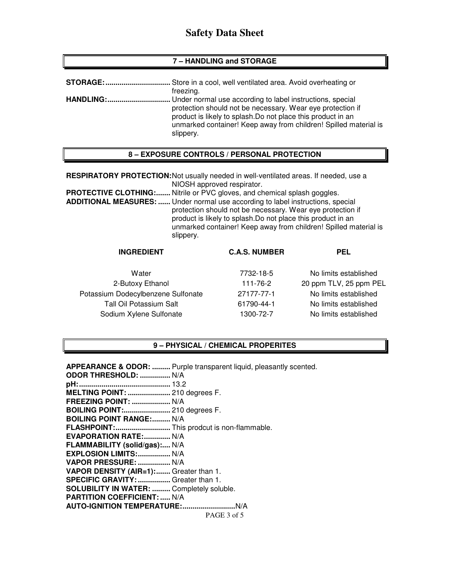## **Safety Data Sheet**

#### **7 – HANDLING and STORAGE**

| <b>STORAGE:</b>  | . Store in a cool, well ventilated area. Avoid overheating or                                                                                                                                                                                                              |
|------------------|----------------------------------------------------------------------------------------------------------------------------------------------------------------------------------------------------------------------------------------------------------------------------|
|                  | freezing.                                                                                                                                                                                                                                                                  |
| <b>HANDLING:</b> | . Under normal use according to label instructions, special<br>protection should not be necessary. Wear eye protection if<br>product is likely to splash. Do not place this product in an<br>unmarked container! Keep away from children! Spilled material is<br>slippery. |

#### **8 – EXPOSURE CONTROLS / PERSONAL PROTECTION**

**RESPIRATORY PROTECTION:** Not usually needed in well-ventilated areas. If needed, use a NIOSH approved respirator.

**PROTECTIVE CLOTHING:.......** Nitrile or PVC gloves, and chemical splash goggles.

**ADDITIONAL MEASURES: ......** Under normal use according to label instructions, special protection should not be necessary. Wear eye protection if product is likely to splash.Do not place this product in an unmarked container! Keep away from children! Spilled material is slippery.

#### **INGREDIENT C.A.S. NUMBER PEL**

Water **1982-18-18-18-5** No limits established 2-Butoxy Ethanol 111-76-2 20 ppm TLV, 25 ppm PEL Potassium Dodecylbenzene Sulfonate 27177-77-1 No limits established Tall Oil Potassium Salt 61790-44-1 No limits established Sodium Xylene Sulfonate 1300-72-7 No limits established

#### **9 – PHYSICAL / CHEMICAL PROPERITES**

PAGE 3 of 5 **APPEARANCE & ODOR: .........** Purple transparent liquid, pleasantly scented. **ODOR THRESHOLD: ...............** N/A **pH: .............................................** 13.2 **MELTING POINT: .....................** 210 degrees F. **FREEZING POINT: ...................** N/A **BOILING POINT:.......................** 210 degrees F. **BOILING POINT RANGE:......... N/A FLASHPOINT: ...........................** This prodcut is non-flammable. **EVAPORATION RATE:.............. N/A FLAMMABILITY (solid/gas):....** N/A **EXPLOSION LIMITS: ................** N/A **VAPOR PRESSURE: ................** N/A **VAPOR DENSITY (AIR=1): .......** Greater than 1. **SPECIFIC GRAVITY: ................** Greater than 1. **SOLUBILITY IN WATER: .........** Completely soluble. **PARTITION COEFFICIENT: .....** N/A **AUTO-IGNITION TEMPERATURE: ..........................** N/A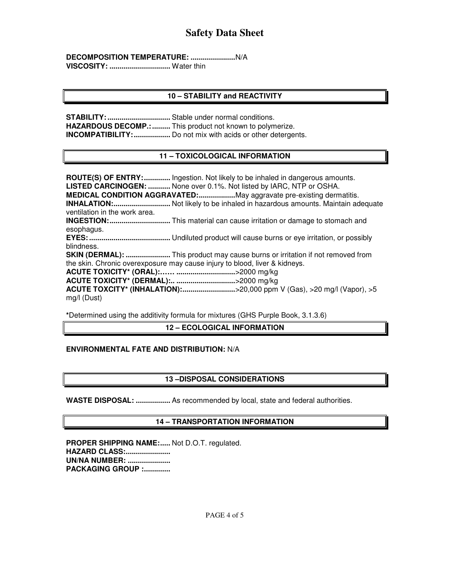**DECOMPOSITION TEMPERATURE: ......................** N/A **VISCOSITY: ..............................** Water thin

## **10 – STABILITY and REACTIVITY**

**STABILITY: ...............................** Stable under normal conditions. **HAZARDOUS DECOMP.: .........** This product not known to polymerize. **INCOMPATIBILITY: ..................** Do not mix with acids or other detergents.

## **11 – TOXICOLOGICAL INFORMATION**

**ROUTE(S) OF ENTRY: .............** Ingestion. Not likely to be inhaled in dangerous amounts. **LISTED CARCINOGEN: ...........** None over 0.1%. Not listed by IARC, NTP or OSHA. **MEDICAL CONDITION AGGRAVATED: ..................** May aggravate pre-existing dermatitis. **INHALATION: ............................** Not likely to be inhaled in hazardous amounts. Maintain adequate ventilation in the work area. **INGESTION: ..............................** This material can cause irritation or damage to stomach and esophagus. **EYES: ........................................** Undiluted product will cause burns or eye irritation, or possibly blindness. **SKIN (DERMAL): ......................** This product may cause burns or irritation if not removed from the skin. Chronic overexposure may cause injury to blood, liver & kidneys. **ACUTE TOXICITY\* (ORAL):…… .............................** >2000 mg/kg **ACUTE TOXICITY\* (DERMAL):.. .............................** >2000 mg/kg **ACUTE TOXCITY\* (INHALATION): ..........................** >20,000 ppm V (Gas), >20 mg/l (Vapor), >5 mg/l (Dust)

**\***Determined using the additivity formula for mixtures (GHS Purple Book, 3.1.3.6)

## **12 – ECOLOGICAL INFORMATION**

## **ENVIRONMENTAL FATE AND DISTRIBUTION:** N/A

## **13 –DISPOSAL CONSIDERATIONS**

**WASTE DISPOSAL: .................** As recommended by local, state and federal authorities.

#### **14 – TRANSPORTATION INFORMATION**

PROPER SHIPPING NAME:..... Not D.O.T. regulated. **HAZARD CLASS:...................... UN/NA NUMBER: ..................... PACKAGING GROUP :.............**